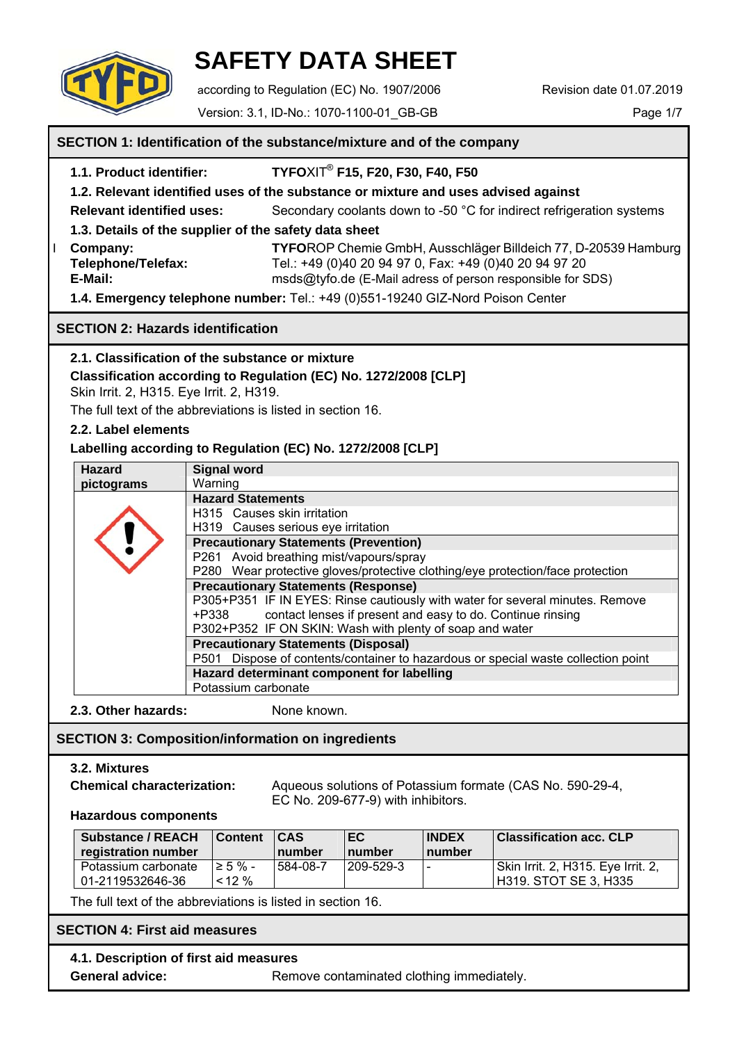

# **SAFETY DATA SHEET**

according to Regulation (EC) No. 1907/2006 Revision date 01.07.2019

Version: 3.1, ID-No.: 1070-1100-01\_GB-GB Page 1/7

# **SECTION 1: Identification of the substance/mixture and of the company 1.1. Product identifier: TYFO**XIT® **F15, F20, F30, F40, F50 1.2. Relevant identified uses of the substance or mixture and uses advised against Relevant identified uses:** Secondary coolants down to -50 °C for indirect refrigeration systems  **1.3. Details of the supplier of the safety data sheet**  Ӏ **Company: TYFO**ROP Chemie GmbH, Ausschläger Billdeich 77, D-20539 Hamburg  **Telephone/Telefax:** Tel.: +49 (0)40 20 94 97 0, Fax: +49 (0)40 20 94 97 20 **E-Mail:** msds@tyfo.de (E-Mail adress of person responsible for SDS) **1.4. Emergency telephone number:** Tel.: +49 (0)551-19240 GIZ-Nord Poison Center **SECTION 2: Hazards identification 2.1. Classification of the substance or mixture Classification according to Regulation (EC) No. 1272/2008 [CLP]** Skin Irrit. 2, H315. Eye Irrit. 2, H319. The full text of the abbreviations is listed in section 16.  **2.2. Label elements Labelling according to Regulation (EC) No. 1272/2008 [CLP] 2.3. Other hazards:** None known.  **SECTION 3: Composition/information on ingredients 3.2. Mixtures Chemical characterization:** Aqueous solutions of Potassium formate (CAS No. 590-29-4, EC No. 209-677-9) with inhibitors.  **Hazardous components**  The full text of the abbreviations is listed in section 16.  **SECTION 4: First aid measures 4.1. Description of first aid measures General advice: Remove contaminated clothing immediately. General Substance / REACH registration number Content CAS number EC number INDEX number Classification acc. CLP**  Potassium carbonate 01-2119532646-36  $\geq 5$  % - $< 12 %$ 584-08-7 209-529-3 - Skin Irrit. 2, H315. Eye Irrit. 2, H319. STOT SE 3, H335 **Hazard Signal word pictograms** Warning **Hazard Statements** H315 Causes skin irritation H319 Causes serious eye irritation **Precautionary Statements (Prevention)** P261 Avoid breathing mist/vapours/spray P280 Wear protective gloves/protective clothing/eye protection/face protection **Precautionary Statements (Response)** P305+P351 IF IN EYES: Rinse cautiously with water for several minutes. Remove +P338 contact lenses if present and easy to do. Continue rinsing P302+P352 IF ON SKIN: Wash with plenty of soap and water **Precautionary Statements (Disposal)** P501 Dispose of contents/container to hazardous or special waste collection point **Hazard determinant component for labelling** Potassium carbonate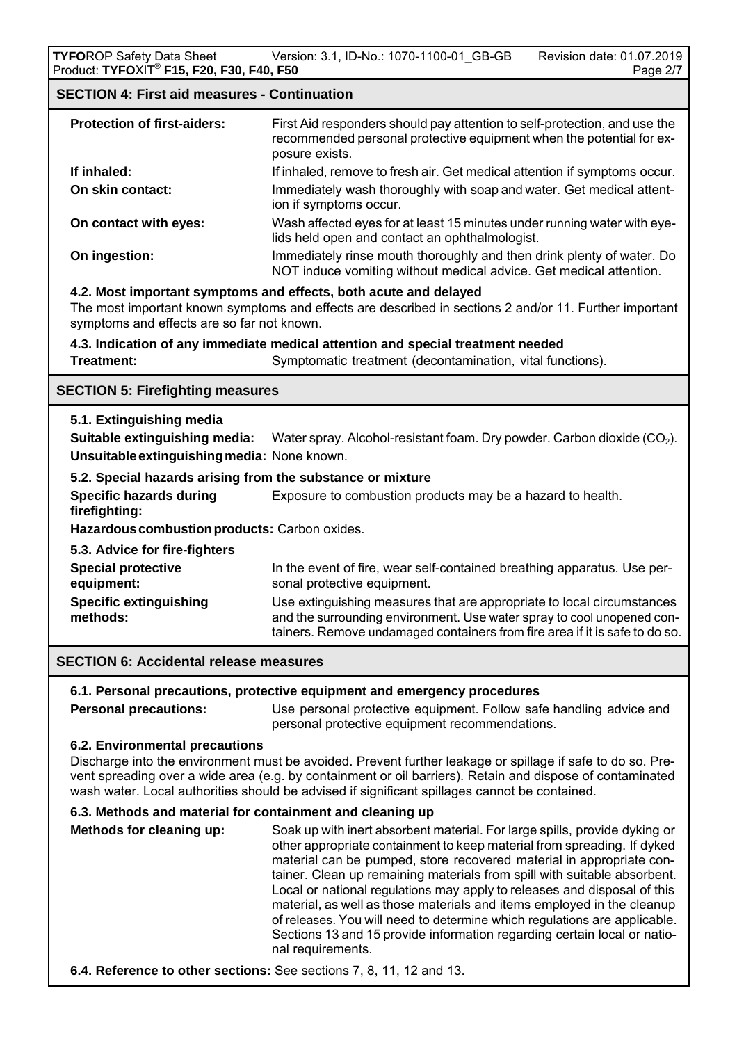# **SECTION 4: First aid measures - Continuation**

| <b>Protection of first-aiders:</b> | First Aid responders should pay attention to self-protection, and use the<br>recommended personal protective equipment when the potential for ex-<br>posure exists. |
|------------------------------------|---------------------------------------------------------------------------------------------------------------------------------------------------------------------|
| If inhaled:                        | If inhaled, remove to fresh air. Get medical attention if symptoms occur.                                                                                           |
| On skin contact:                   | Immediately wash thoroughly with soap and water. Get medical attent-<br>ion if symptoms occur.                                                                      |
| On contact with eyes:              | Wash affected eyes for at least 15 minutes under running water with eye-<br>lids held open and contact an ophthalmologist.                                          |
| On ingestion:                      | Immediately rinse mouth thoroughly and then drink plenty of water. Do<br>NOT induce vomiting without medical advice. Get medical attention.                         |

## **4.2. Most important symptoms and effects, both acute and delayed**

 The most important known symptoms and effects are described in sections 2 and/or 11. Further important symptoms and effects are so far not known.

**4.3. Indication of any immediate medical attention and special treatment needed** 

**Treatment:** Symptomatic treatment (decontamination, vital functions).

# **SECTION 5: Firefighting measures**

## **5.1. Extinguishing media**

 **Suitable extinguishing media:** Water spray. Alcohol-resistant foam. Dry powder. Carbon dioxide (CO2). **Unsuitableextinguishingmedia:** None known.

## **5.2. Special hazards arising from the substance or mixture**

**Specific hazards during Exposure to combustion products may be a hazard to health. firefighting:** 

 **Hazardouscombustionproducts:** Carbon oxides.

 **5.3. Advice for fire-fighters** 

| <b>Special protective</b>     | In the event of fire, wear self-contained breathing apparatus. Use per-     |
|-------------------------------|-----------------------------------------------------------------------------|
| equipment:                    | sonal protective equipment.                                                 |
| <b>Specific extinguishing</b> | Use extinguishing measures that are appropriate to local circumstances      |
| methods:                      | and the surrounding environment. Use water spray to cool unopened con-      |
|                               | tainers. Remove undamaged containers from fire area if it is safe to do so. |

## **SECTION 6: Accidental release measures**

# **6.1. Personal precautions, protective equipment and emergency procedures**

**Personal precautions:** Use personal protective equipment. Follow safe handling advice and personal protective equipment recommendations.

## **6.2. Environmental precautions**

Discharge into the environment must be avoided. Prevent further leakage or spillage if safe to do so. Pre vent spreading over a wide area (e.g. by containment or oil barriers). Retain and dispose of contaminated wash water. Local authorities should be advised if significant spillages cannot be contained.

## **6.3. Methods and material for containment and cleaning up**

 **Methods for cleaning up:** Soak up with inert absorbent material. For large spills, provide dyking or other appropriate containment to keep material from spreading. If dyked material can be pumped, store recovered material in appropriate con tainer. Clean up remaining materials from spill with suitable absorbent. Local or national regulations may apply to releases and disposal of this material, as well as those materials and items employed in the cleanup of releases. You will need to determine which regulations are applicable. Sections 13 and 15 provide information regarding certain local or natio nal requirements.

**6.4. Reference to other sections:** See sections 7, 8, 11, 12 and 13.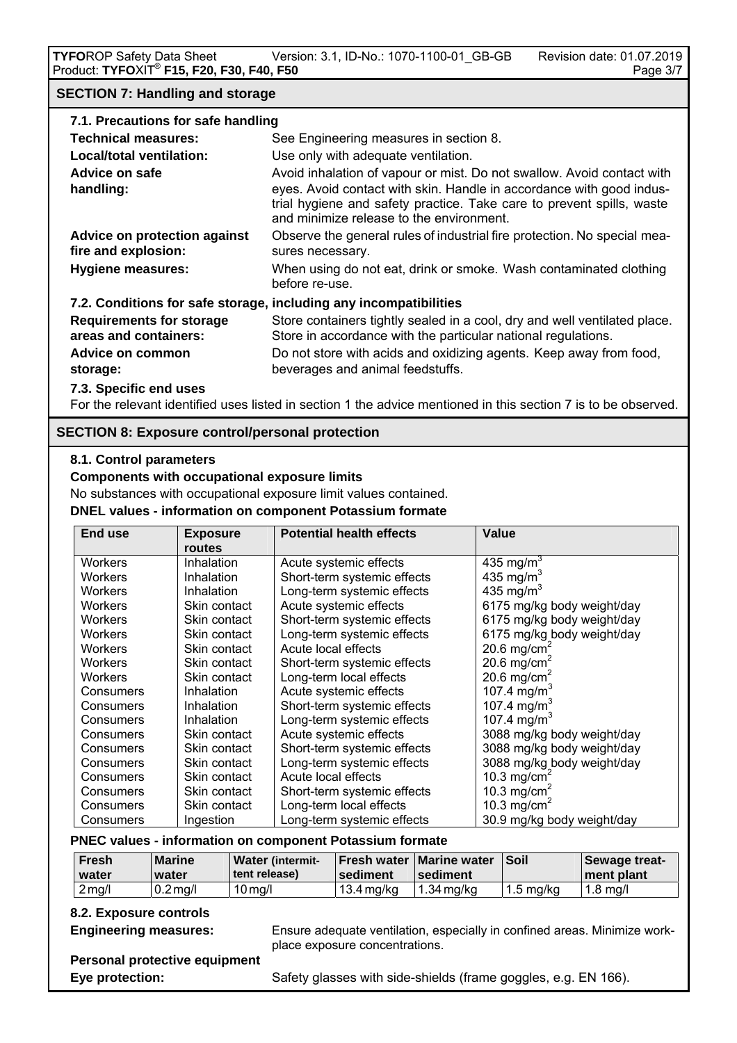## **SECTION 7: Handling and storage**

| 7.1. Precautions for safe handling                       |                                                                                                                                                                                                                                                                     |  |
|----------------------------------------------------------|---------------------------------------------------------------------------------------------------------------------------------------------------------------------------------------------------------------------------------------------------------------------|--|
| Technical measures:                                      | See Engineering measures in section 8.                                                                                                                                                                                                                              |  |
| Local/total ventilation:                                 | Use only with adequate ventilation.                                                                                                                                                                                                                                 |  |
| Advice on safe<br>handling:                              | Avoid inhalation of vapour or mist. Do not swallow. Avoid contact with<br>eyes. Avoid contact with skin. Handle in accordance with good indus-<br>trial hygiene and safety practice. Take care to prevent spills, waste<br>and minimize release to the environment. |  |
| Advice on protection against<br>fire and explosion:      | Observe the general rules of industrial fire protection. No special mea-<br>sures necessary.                                                                                                                                                                        |  |
| <b>Hygiene measures:</b>                                 | When using do not eat, drink or smoke. Wash contaminated clothing<br>before re-use.                                                                                                                                                                                 |  |
|                                                          | 7.2. Conditions for safe storage, including any incompatibilities                                                                                                                                                                                                   |  |
| <b>Requirements for storage</b><br>areas and containers: | Store containers tightly sealed in a cool, dry and well ventilated place.<br>Store in accordance with the particular national regulations.                                                                                                                          |  |
| Advice on common<br>storage:                             | Do not store with acids and oxidizing agents. Keep away from food,<br>beverages and animal feedstuffs.                                                                                                                                                              |  |
| 7.3. Specific end uses                                   |                                                                                                                                                                                                                                                                     |  |

For the relevant identified uses listed in section 1 the advice mentioned in this section 7 is to be observed.

# **SECTION 8: Exposure control/personal protection**

# **8.1. Control parameters**

# **Components with occupational exposure limits**

No substances with occupational exposure limit values contained.

#### **DNEL values - information on component Potassium formate**

| <b>End use</b> | <b>Exposure</b><br>routes | <b>Potential health effects</b> | Value                      |
|----------------|---------------------------|---------------------------------|----------------------------|
| Workers        | Inhalation                | Acute systemic effects          | 435 mg/m <sup>3</sup>      |
| <b>Workers</b> | Inhalation                | Short-term systemic effects     | 435 mg/m <sup>3</sup>      |
| <b>Workers</b> | Inhalation                | Long-term systemic effects      | 435 mg/m <sup>3</sup>      |
| <b>Workers</b> | Skin contact              | Acute systemic effects          | 6175 mg/kg body weight/day |
| <b>Workers</b> | Skin contact              | Short-term systemic effects     | 6175 mg/kg body weight/day |
| <b>Workers</b> | Skin contact              | Long-term systemic effects      | 6175 mg/kg body weight/day |
| <b>Workers</b> | Skin contact              | Acute local effects             | 20.6 mg/cm <sup>2</sup>    |
| <b>Workers</b> | Skin contact              | Short-term systemic effects     | 20.6 mg/cm <sup>2</sup>    |
| <b>Workers</b> | Skin contact              | Long-term local effects         | 20.6 mg/cm <sup>2</sup>    |
| Consumers      | Inhalation                | Acute systemic effects          | 107.4 mg/m <sup>3</sup>    |
| Consumers      | Inhalation                | Short-term systemic effects     | 107.4 mg/m <sup>3</sup>    |
| Consumers      | Inhalation                | Long-term systemic effects      | 107.4 mg/m <sup>3</sup>    |
| Consumers      | Skin contact              | Acute systemic effects          | 3088 mg/kg body weight/day |
| Consumers      | Skin contact              | Short-term systemic effects     | 3088 mg/kg body weight/day |
| Consumers      | Skin contact              | Long-term systemic effects      | 3088 mg/kg body weight/day |
| Consumers      | Skin contact              | Acute local effects             | 10.3 mg/cm <sup>2</sup>    |
| Consumers      | Skin contact              | Short-term systemic effects     | 10.3 mg/cm <sup>2</sup>    |
| Consumers      | Skin contact              | Long-term local effects         | 10.3 mg/cm <sup>2</sup>    |
| Consumers      | Ingestion                 | Long-term systemic effects      | 30.9 mg/kg body weight/day |

#### **PNEC values - information on component Potassium formate**

| <b>Fresh</b><br>water | <b>Marine</b><br>water | <b>Water (intermit-</b><br>l tent release). | ∣sediment  | <b>Fresh water   Marine water</b><br><b>Sediment</b> | ∣Soil     | Sewage treat-<br>ment plant |
|-----------------------|------------------------|---------------------------------------------|------------|------------------------------------------------------|-----------|-----------------------------|
| $2$ mg/l              | $0.2$ mg/l             | $10$ mg/l                                   | 13.4 mg/kg | $1.34$ mg/kg                                         | 1.5 ma/ka | l 1.8 ma/l                  |

# **8.2. Exposure controls**

**Engineering measures:** Ensure adequate ventilation, especially in confined areas. Minimize workplace exposure concentrations.

 **Personal protective equipment** 

**Eye protection:** Safety glasses with side-shields (frame goggles, e.g. EN 166).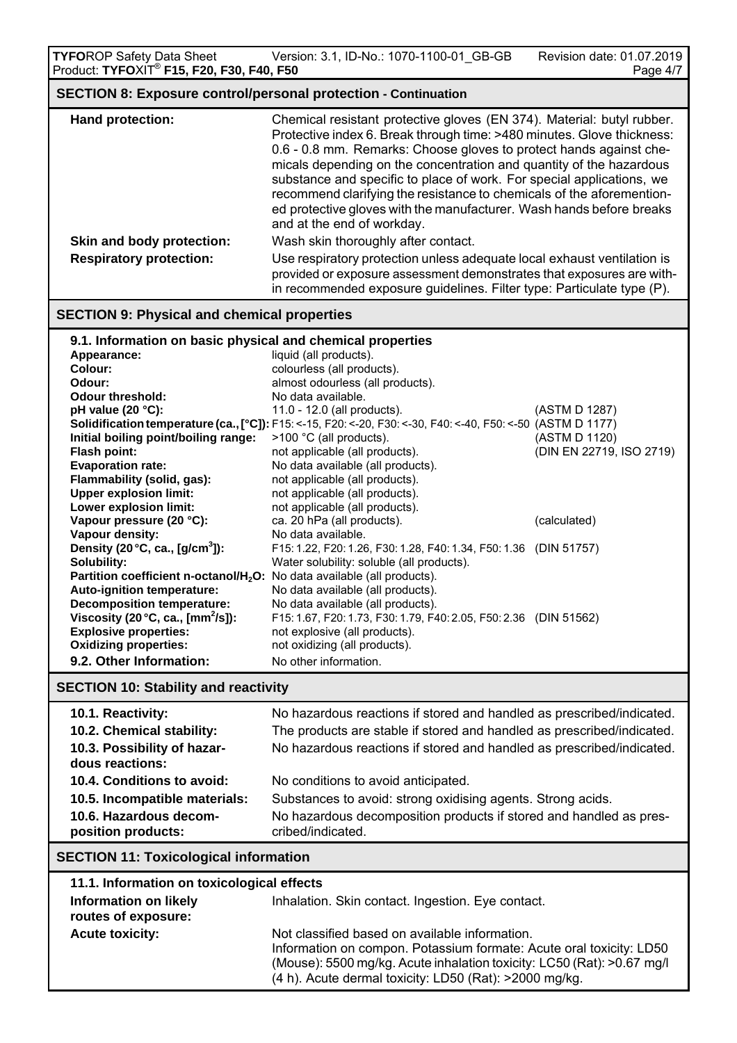Version: 3.1, ID-No.: 1070-1100-01\_GB-GB Revision date: 01.07.2019 **TYFO**ROP Safety Data Sheet Version: 3.1, ID-No.: 1070-1100-01\_GB-GB Revision date: 01.07.2019<br>Product: **TYFO**XIT<sup>®</sup> **F15, F20, F30, F40, F50** Page 4/7  **SECTION 8: Exposure control/personal protection - Continuation** 

| <u>ULUTTUR U. LAPUUGIU UURIUUPUIUU PIULUURIUI UURINIUGIUI</u> |                                                                                                                                                                                                                                                                                                                                                                                                                                                                                                                                                       |  |
|---------------------------------------------------------------|-------------------------------------------------------------------------------------------------------------------------------------------------------------------------------------------------------------------------------------------------------------------------------------------------------------------------------------------------------------------------------------------------------------------------------------------------------------------------------------------------------------------------------------------------------|--|
| Hand protection:                                              | Chemical resistant protective gloves (EN 374). Material: butyl rubber.<br>Protective index 6. Break through time: >480 minutes. Glove thickness:<br>0.6 - 0.8 mm. Remarks: Choose gloves to protect hands against che-<br>micals depending on the concentration and quantity of the hazardous<br>substance and specific to place of work. For special applications, we<br>recommend clarifying the resistance to chemicals of the aforemention-<br>ed protective gloves with the manufacturer. Wash hands before breaks<br>and at the end of workday. |  |
| Skin and body protection:                                     | Wash skin thoroughly after contact.                                                                                                                                                                                                                                                                                                                                                                                                                                                                                                                   |  |
| <b>Respiratory protection:</b>                                | Use respiratory protection unless adequate local exhaust ventilation is<br>provided or exposure assessment demonstrates that exposures are with-<br>in recommended exposure guidelines. Filter type: Particulate type (P).                                                                                                                                                                                                                                                                                                                            |  |

# **SECTION 9: Physical and chemical properties**

| 9.1. Information on basic physical and chemical properties |                                                                                                             |                          |  |
|------------------------------------------------------------|-------------------------------------------------------------------------------------------------------------|--------------------------|--|
| Appearance:                                                | liquid (all products).                                                                                      |                          |  |
| Colour:                                                    | colourless (all products).                                                                                  |                          |  |
| Odour:                                                     | almost odourless (all products).                                                                            |                          |  |
| <b>Odour threshold:</b>                                    | No data available.                                                                                          |                          |  |
| pH value $(20 °C)$ :                                       | 11.0 - 12.0 (all products).                                                                                 | (ASTM D 1287)            |  |
|                                                            | Solidification temperature (ca., [°C]): F15: <-15, F20: <-20, F30: <-30, F40: <-40, F50: <-50 (ASTM D 1177) |                          |  |
| Initial boiling point/boiling range:                       | $>100$ °C (all products).                                                                                   | (ASTM D 1120)            |  |
| Flash point:                                               | not applicable (all products).                                                                              | (DIN EN 22719, ISO 2719) |  |
| <b>Evaporation rate:</b>                                   | No data available (all products).                                                                           |                          |  |
| Flammability (solid, gas):                                 | not applicable (all products).                                                                              |                          |  |
| <b>Upper explosion limit:</b>                              | not applicable (all products).                                                                              |                          |  |
| Lower explosion limit:                                     | not applicable (all products).                                                                              |                          |  |
| Vapour pressure (20 °C):                                   | ca. 20 hPa (all products).                                                                                  | (calculated)             |  |
| Vapour density:                                            | No data available.                                                                                          |                          |  |
| Density (20 $^{\circ}$ C, ca., [g/cm <sup>3</sup> ]):      | F15: 1.22, F20: 1.26, F30: 1.28, F40: 1.34, F50: 1.36 (DIN 51757)                                           |                          |  |
| Solubility:                                                | Water solubility: soluble (all products).                                                                   |                          |  |
| Partition coefficient n-octanol/H <sub>2</sub> O:          | No data available (all products).                                                                           |                          |  |
| Auto-ignition temperature:                                 | No data available (all products).                                                                           |                          |  |
| <b>Decomposition temperature:</b>                          | No data available (all products).                                                                           |                          |  |
| Viscosity (20 $^{\circ}$ C, ca., [mm <sup>2</sup> /s]):    | F15: 1.67, F20: 1.73, F30: 1.79, F40: 2.05, F50: 2.36 (DIN 51562)                                           |                          |  |
| <b>Explosive properties:</b>                               | not explosive (all products).                                                                               |                          |  |
| <b>Oxidizing properties:</b>                               | not oxidizing (all products).                                                                               |                          |  |
| 9.2. Other Information:                                    | No other information.                                                                                       |                          |  |

# **SECTION 10: Stability and reactivity**

| 10.1. Reactivity:                              | No hazardous reactions if stored and handled as prescribed/indicated.                   |
|------------------------------------------------|-----------------------------------------------------------------------------------------|
| 10.2. Chemical stability:                      | The products are stable if stored and handled as prescribed/indicated.                  |
| 10.3. Possibility of hazar-<br>dous reactions: | No hazardous reactions if stored and handled as prescribed/indicated.                   |
| 10.4. Conditions to avoid:                     | No conditions to avoid anticipated.                                                     |
| 10.5. Incompatible materials:                  | Substances to avoid: strong oxidising agents. Strong acids.                             |
| 10.6. Hazardous decom-<br>position products:   | No hazardous decomposition products if stored and handled as pres-<br>cribed/indicated. |

# **SECTION 11: Toxicological information**

| 11.1. Information on toxicological effects          |                                                                                                                                                                                                                                                           |
|-----------------------------------------------------|-----------------------------------------------------------------------------------------------------------------------------------------------------------------------------------------------------------------------------------------------------------|
| <b>Information on likely</b><br>routes of exposure: | Inhalation. Skin contact. Ingestion. Eye contact.                                                                                                                                                                                                         |
| <b>Acute toxicity:</b>                              | Not classified based on available information.<br>Information on compon. Potassium formate: Acute oral toxicity: LD50<br>(Mouse): 5500 mg/kg. Acute inhalation toxicity: LC50 (Rat): >0.67 mg/l<br>(4 h). Acute dermal toxicity: LD50 (Rat): >2000 mg/kg. |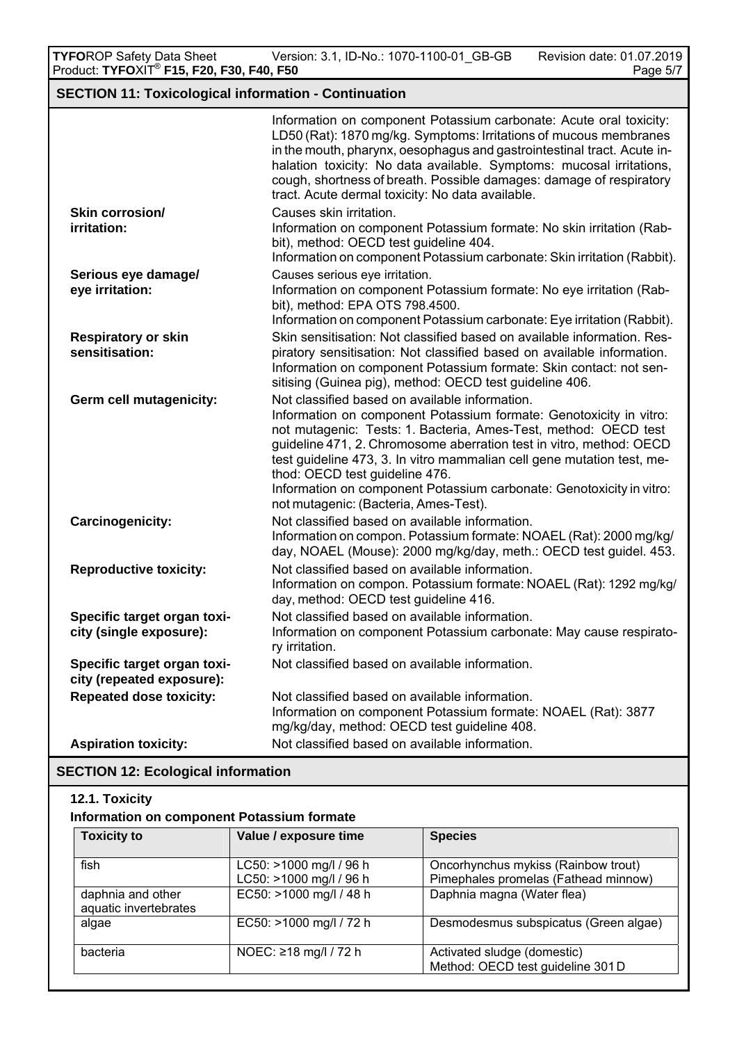Version: 3.1, ID-No.: 1070-1100-01\_GB-GB Revision date: 01.07.2019 **TYFO**ROP Safety Data Sheet Version: 3.1, ID-No.: 1070-1100-01\_GB-GB Revision date: 01.07.2019<br>Product: **TYFO**XIT<sup>®</sup> **F15, F20, F30, F40, F50** Page 5/7

# **SECTION 11: Toxicological information - Continuation**

|                                                          | Information on component Potassium carbonate: Acute oral toxicity:<br>LD50 (Rat): 1870 mg/kg. Symptoms: Irritations of mucous membranes<br>in the mouth, pharynx, oesophagus and gastrointestinal tract. Acute in-<br>halation toxicity: No data available. Symptoms: mucosal irritations,<br>cough, shortness of breath. Possible damages: damage of respiratory<br>tract. Acute dermal toxicity: No data available.                                                                       |
|----------------------------------------------------------|---------------------------------------------------------------------------------------------------------------------------------------------------------------------------------------------------------------------------------------------------------------------------------------------------------------------------------------------------------------------------------------------------------------------------------------------------------------------------------------------|
| Skin corrosion/                                          | Causes skin irritation.                                                                                                                                                                                                                                                                                                                                                                                                                                                                     |
| irritation:                                              | Information on component Potassium formate: No skin irritation (Rab-<br>bit), method: OECD test guideline 404.<br>Information on component Potassium carbonate: Skin irritation (Rabbit).                                                                                                                                                                                                                                                                                                   |
| Serious eye damage/                                      | Causes serious eye irritation.                                                                                                                                                                                                                                                                                                                                                                                                                                                              |
| eye irritation:                                          | Information on component Potassium formate: No eye irritation (Rab-<br>bit), method: EPA OTS 798.4500.                                                                                                                                                                                                                                                                                                                                                                                      |
|                                                          | Information on component Potassium carbonate: Eye irritation (Rabbit).                                                                                                                                                                                                                                                                                                                                                                                                                      |
| <b>Respiratory or skin</b><br>sensitisation:             | Skin sensitisation: Not classified based on available information. Res-<br>piratory sensitisation: Not classified based on available information.<br>Information on component Potassium formate: Skin contact: not sen-<br>sitising (Guinea pig), method: OECD test guideline 406.                                                                                                                                                                                                          |
| <b>Germ cell mutagenicity:</b>                           | Not classified based on available information.<br>Information on component Potassium formate: Genotoxicity in vitro:<br>not mutagenic: Tests: 1. Bacteria, Ames-Test, method: OECD test<br>guideline 471, 2. Chromosome aberration test in vitro, method: OECD<br>test guideline 473, 3. In vitro mammalian cell gene mutation test, me-<br>thod: OECD test guideline 476.<br>Information on component Potassium carbonate: Genotoxicity in vitro:<br>not mutagenic: (Bacteria, Ames-Test). |
| <b>Carcinogenicity:</b>                                  | Not classified based on available information.<br>Information on compon. Potassium formate: NOAEL (Rat): 2000 mg/kg/<br>day, NOAEL (Mouse): 2000 mg/kg/day, meth.: OECD test quidel. 453.                                                                                                                                                                                                                                                                                                   |
| <b>Reproductive toxicity:</b>                            | Not classified based on available information.<br>Information on compon. Potassium formate: NOAEL (Rat): 1292 mg/kg/<br>day, method: OECD test guideline 416.                                                                                                                                                                                                                                                                                                                               |
| Specific target organ toxi-<br>city (single exposure):   | Not classified based on available information.<br>Information on component Potassium carbonate: May cause respirato-<br>ry irritation.                                                                                                                                                                                                                                                                                                                                                      |
| Specific target organ toxi-<br>city (repeated exposure): | Not classified based on available information.                                                                                                                                                                                                                                                                                                                                                                                                                                              |
| <b>Repeated dose toxicity:</b>                           | Not classified based on available information.<br>Information on component Potassium formate: NOAEL (Rat): 3877<br>mg/kg/day, method: OECD test guideline 408.                                                                                                                                                                                                                                                                                                                              |
| <b>Aspiration toxicity:</b>                              | Not classified based on available information.                                                                                                                                                                                                                                                                                                                                                                                                                                              |

# **SECTION 12: Ecological information**

# **12.1. Toxicity Information on component Potassium formate**

| <b>Toxicity to</b>                         | Value / exposure time                              | <b>Species</b>                                                              |
|--------------------------------------------|----------------------------------------------------|-----------------------------------------------------------------------------|
| fish                                       | LC50: >1000 mg/l / 96 h<br>LC50: >1000 mg/l / 96 h | Oncorhynchus mykiss (Rainbow trout)<br>Pimephales promelas (Fathead minnow) |
| daphnia and other<br>aquatic invertebrates | EC50: >1000 mg/l / 48 h                            | Daphnia magna (Water flea)                                                  |
| algae                                      | EC50: >1000 mg/l / 72 h                            | Desmodesmus subspicatus (Green algae)                                       |
| bacteria                                   | NOEC: ≥18 mg/l / 72 h                              | Activated sludge (domestic)<br>Method: OECD test guideline 301D             |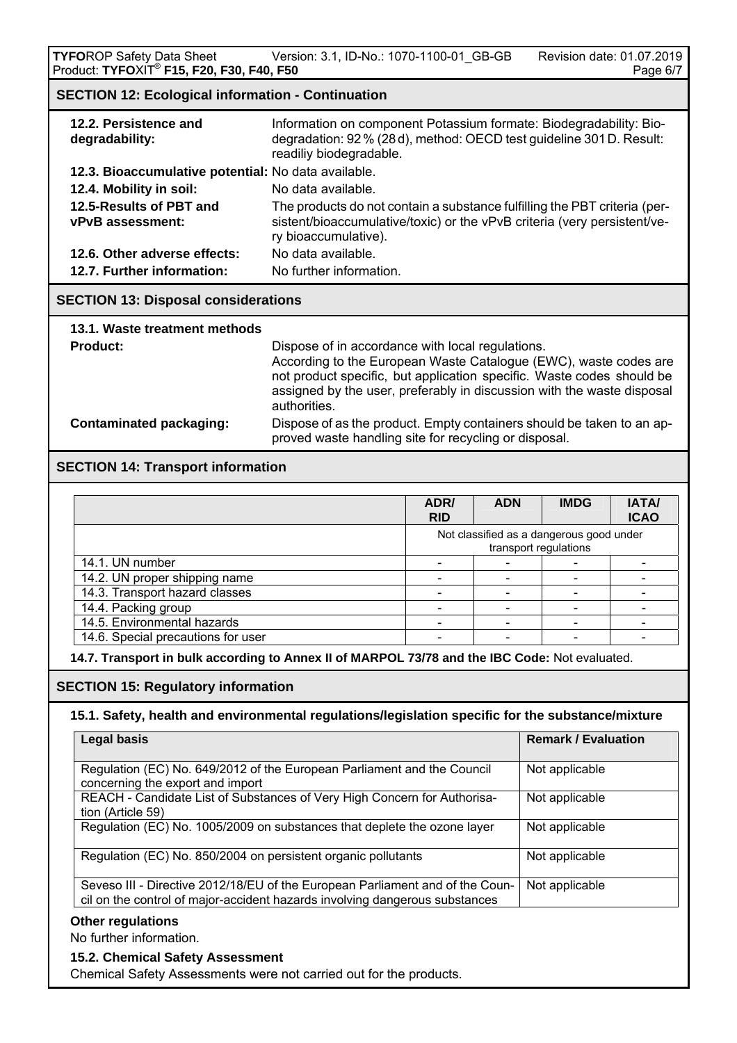**TYFOROP Safety Data Sheet** Version: 3.1, ID-No.: 1070-1100-01\_GB-GB Revision date: 01.07.2019 Product: **TYFO**XIT<sup>®</sup> F15, F20, F30, F40, F50

## **SECTION 12: Ecological information - Continuation**

| 12.2. Persistence and<br>degradability:             | Information on component Potassium formate: Biodegradability: Bio-<br>degradation: 92% (28d), method: OECD test guideline 301 D. Result:<br>readiliy biodegradable.           |
|-----------------------------------------------------|-------------------------------------------------------------------------------------------------------------------------------------------------------------------------------|
| 12.3. Bioaccumulative potential: No data available. |                                                                                                                                                                               |
| 12.4. Mobility in soil:                             | No data available.                                                                                                                                                            |
| 12.5-Results of PBT and<br><b>vPvB</b> assessment:  | The products do not contain a substance fulfilling the PBT criteria (per-<br>sistent/bioaccumulative/toxic) or the vPvB criteria (very persistent/ve-<br>ry bioaccumulative). |
| 12.6. Other adverse effects:                        | No data available.                                                                                                                                                            |
| 12.7. Further information:                          | No further information.                                                                                                                                                       |
|                                                     |                                                                                                                                                                               |

# **SECTION 13: Disposal considerations**

| 13.1. Waste treatment methods |  |  |  |  |  |
|-------------------------------|--|--|--|--|--|
| <b>Product:</b>               |  |  |  |  |  |

**Dispose of in accordance with local regulations.**  According to the European Waste Catalogue (EWC), waste codes are not product specific, but application specific. Waste codes should be assigned by the user, preferably in discussion with the waste disposal authorities.  **Contaminated packaging:** Dispose of as the product. Empty containers should be taken to an ap-

proved waste handling site for recycling or disposal.

## **SECTION 14: Transport information**

|                                    | ADR/<br><b>RID</b> | <b>ADN</b>                                                        | <b>IMDG</b> | <b>IATA/</b><br><b>ICAO</b> |
|------------------------------------|--------------------|-------------------------------------------------------------------|-------------|-----------------------------|
|                                    |                    | Not classified as a dangerous good under<br>transport regulations |             |                             |
| 14.1. UN number                    |                    |                                                                   |             |                             |
| 14.2. UN proper shipping name      |                    |                                                                   |             |                             |
| 14.3. Transport hazard classes     |                    |                                                                   |             |                             |
| 14.4. Packing group                |                    |                                                                   |             |                             |
| 14.5. Environmental hazards        |                    |                                                                   |             |                             |
| 14.6. Special precautions for user |                    |                                                                   |             |                             |

**14.7. Transport in bulk according to Annex II of MARPOL 73/78 and the IBC Code:** Not evaluated.

## **SECTION 15: Regulatory information**

#### **15.1. Safety, health and environmental regulations/legislation specific for the substance/mixture**

| <b>Legal basis</b>                                                                                                                                           | <b>Remark / Evaluation</b> |
|--------------------------------------------------------------------------------------------------------------------------------------------------------------|----------------------------|
| Regulation (EC) No. 649/2012 of the European Parliament and the Council<br>concerning the export and import                                                  | Not applicable             |
| REACH - Candidate List of Substances of Very High Concern for Authorisa-<br>tion (Article 59)                                                                | Not applicable             |
| Regulation (EC) No. 1005/2009 on substances that deplete the ozone layer                                                                                     | Not applicable             |
| Regulation (EC) No. 850/2004 on persistent organic pollutants                                                                                                | Not applicable             |
| Seveso III - Directive 2012/18/EU of the European Parliament and of the Coun-<br>cil on the control of major-accident hazards involving dangerous substances | Not applicable             |

No further information.

#### **15.2. Chemical Safety Assessment**

Chemical Safety Assessments were not carried out for the products.